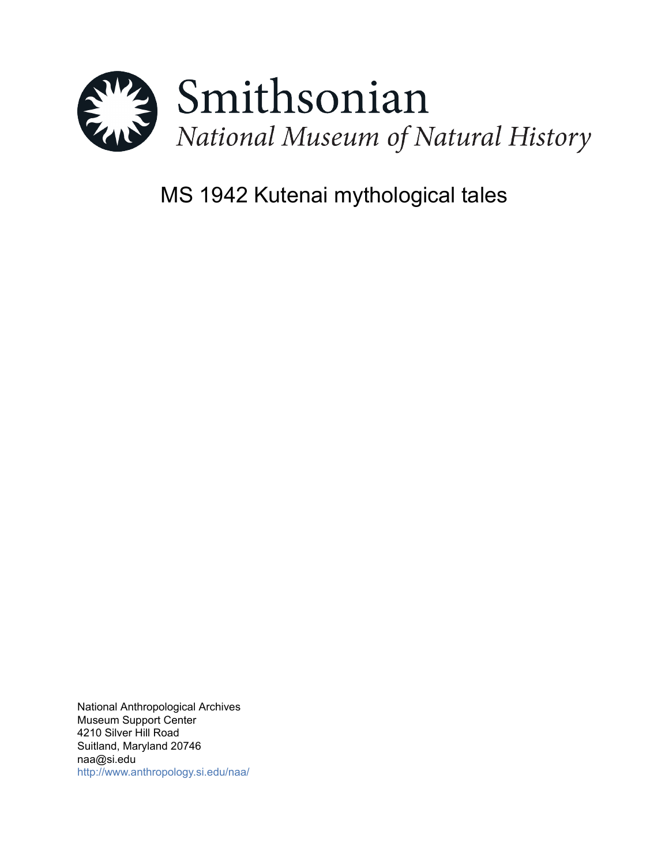

# MS 1942 Kutenai mythological tales

National Anthropological Archives Museum Support Center 4210 Silver Hill Road Suitland, Maryland 20746 naa@si.edu <http://www.anthropology.si.edu/naa/>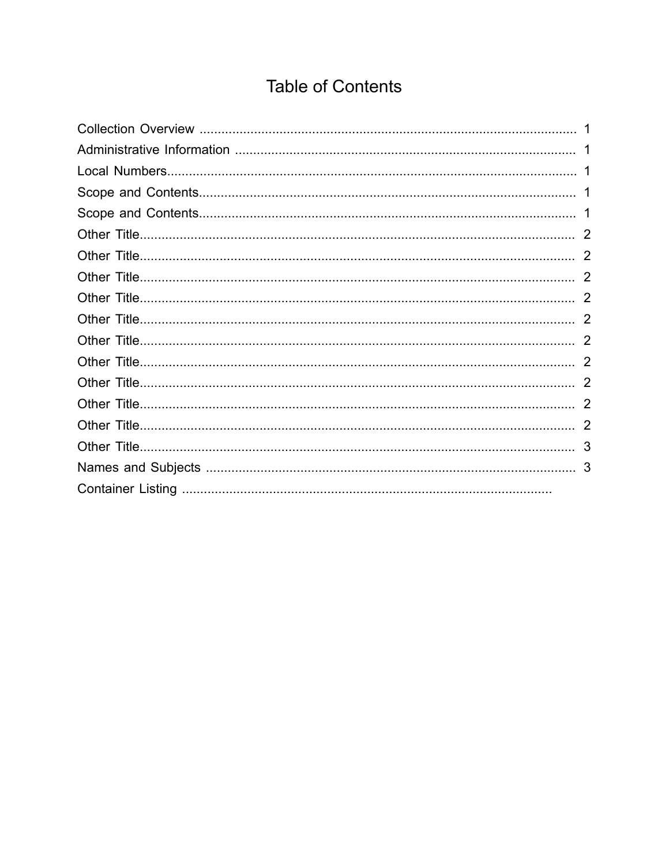## **Table of Contents**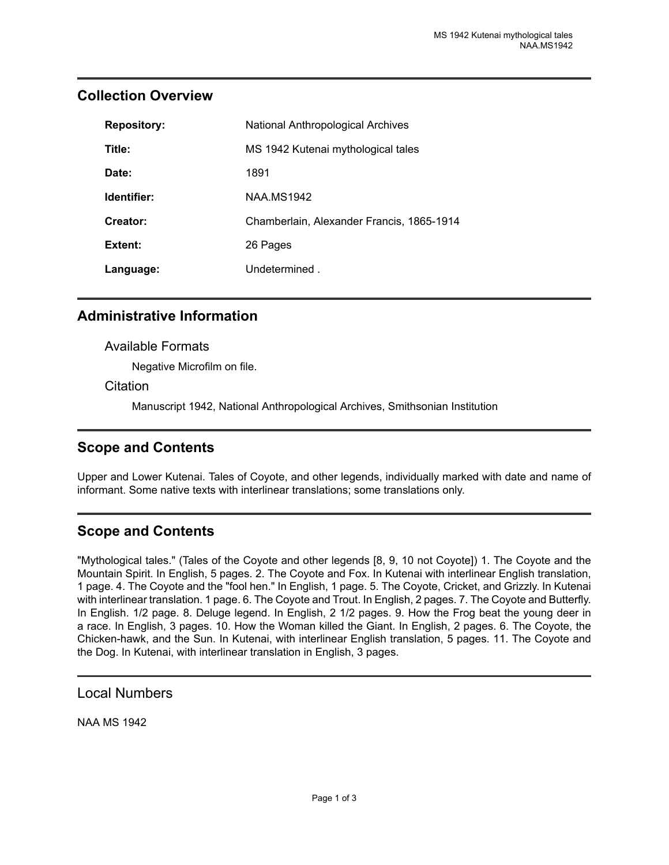| <b>Repository:</b> | <b>National Anthropological Archives</b>  |
|--------------------|-------------------------------------------|
| Title:             | MS 1942 Kutenai mythological tales        |
| Date:              | 1891                                      |
| Identifier:        | <b>NAA MS1942</b>                         |
| Creator:           | Chamberlain, Alexander Francis, 1865-1914 |
| Extent:            | 26 Pages                                  |
| Language:          | Undetermined.                             |

#### <span id="page-2-0"></span>**Collection Overview**

#### <span id="page-2-1"></span>**Administrative Information**

#### Available Formats

Negative Microfilm on file.

#### **Citation**

Manuscript 1942, National Anthropological Archives, Smithsonian Institution

#### <span id="page-2-3"></span>**Scope and Contents**

Upper and Lower Kutenai. Tales of Coyote, and other legends, individually marked with date and name of informant. Some native texts with interlinear translations; some translations only.

## <span id="page-2-4"></span>**Scope and Contents**

"Mythological tales." (Tales of the Coyote and other legends [8, 9, 10 not Coyote]) 1. The Coyote and the Mountain Spirit. In English, 5 pages. 2. The Coyote and Fox. In Kutenai with interlinear English translation, 1 page. 4. The Coyote and the "fool hen." In English, 1 page. 5. The Coyote, Cricket, and Grizzly. In Kutenai with interlinear translation. 1 page. 6. The Coyote and Trout. In English, 2 pages. 7. The Coyote and Butterfly. In English. 1/2 page. 8. Deluge legend. In English, 2 1/2 pages. 9. How the Frog beat the young deer in a race. In English, 3 pages. 10. How the Woman killed the Giant. In English, 2 pages. 6. The Coyote, the Chicken-hawk, and the Sun. In Kutenai, with interlinear English translation, 5 pages. 11. The Coyote and the Dog. In Kutenai, with interlinear translation in English, 3 pages.

#### <span id="page-2-2"></span>Local Numbers

NAA MS 1942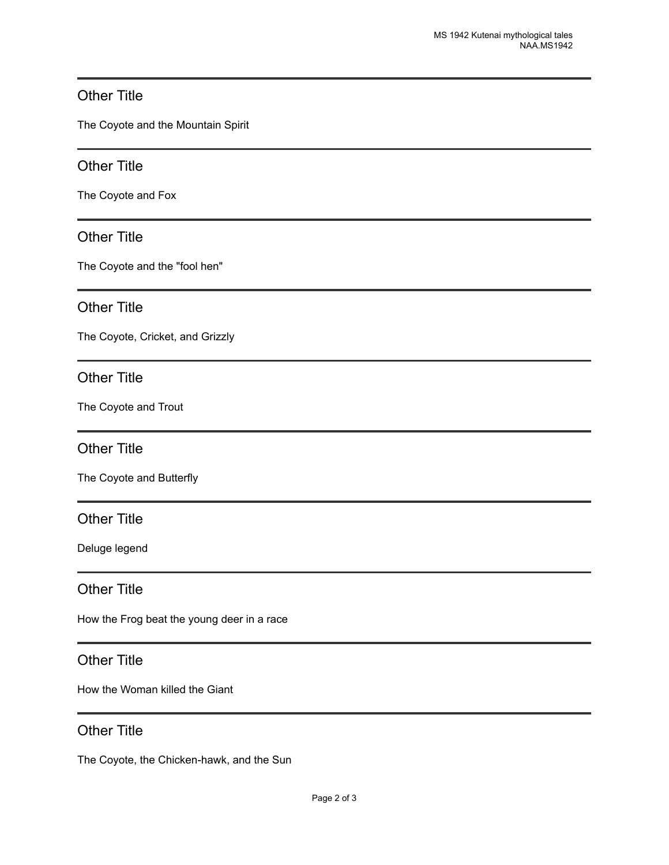#### <span id="page-3-0"></span>Other Title

The Coyote and the Mountain Spirit

#### <span id="page-3-1"></span>Other Title

The Coyote and Fox

#### <span id="page-3-2"></span>Other Title

The Coyote and the "fool hen"

#### <span id="page-3-3"></span>Other Title

The Coyote, Cricket, and Grizzly

#### <span id="page-3-4"></span>Other Title

The Coyote and Trout

#### <span id="page-3-5"></span>Other Title

The Coyote and Butterfly

## <span id="page-3-6"></span>Other Title

Deluge legend

#### <span id="page-3-7"></span>Other Title

How the Frog beat the young deer in a race

#### <span id="page-3-8"></span>Other Title

How the Woman killed the Giant

## <span id="page-3-9"></span>Other Title

The Coyote, the Chicken-hawk, and the Sun